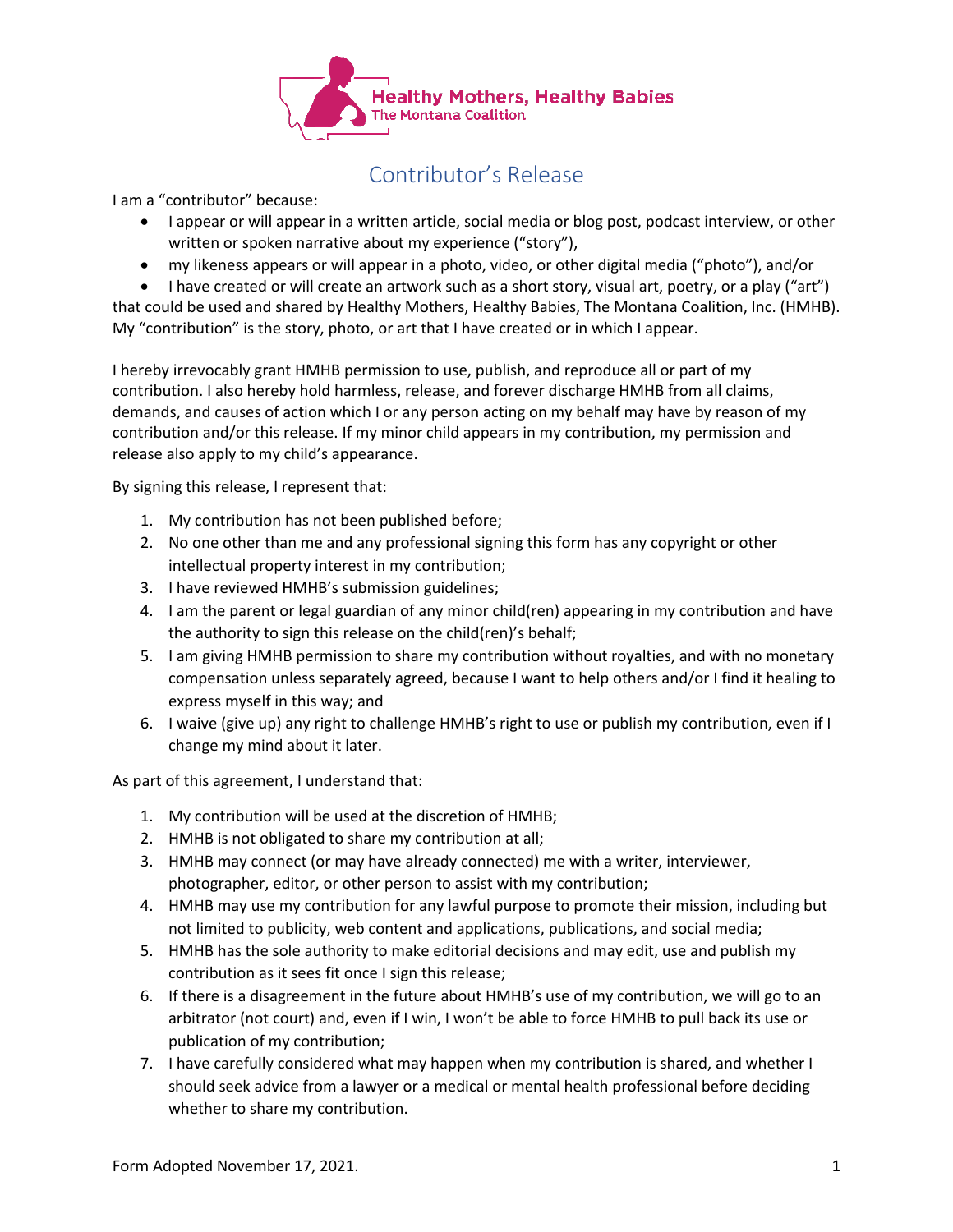

## Contributor's Release

I am a "contributor" because:

- I appear or will appear in a written article, social media or blog post, podcast interview, or other written or spoken narrative about my experience ("story"),
- my likeness appears or will appear in a photo, video, or other digital media ("photo"), and/or
- I have created or will create an artwork such as a short story, visual art, poetry, or a play ("art")

that could be used and shared by Healthy Mothers, Healthy Babies, The Montana Coalition, Inc. (HMHB). My "contribution" is the story, photo, or art that I have created or in which I appear.

I hereby irrevocably grant HMHB permission to use, publish, and reproduce all or part of my contribution. I also hereby hold harmless, release, and forever discharge HMHB from all claims, demands, and causes of action which I or any person acting on my behalf may have by reason of my contribution and/or this release. If my minor child appears in my contribution, my permission and release also apply to my child's appearance.

By signing this release, I represent that:

- 1. My contribution has not been published before;
- 2. No one other than me and any professional signing this form has any copyright or other intellectual property interest in my contribution;
- 3. I have reviewed HMHB's submission guidelines;
- 4. I am the parent or legal guardian of any minor child(ren) appearing in my contribution and have the authority to sign this release on the child(ren)'s behalf;
- 5. I am giving HMHB permission to share my contribution without royalties, and with no monetary compensation unless separately agreed, because I want to help others and/or I find it healing to express myself in this way; and
- 6. I waive (give up) any right to challenge HMHB's right to use or publish my contribution, even if I change my mind about it later.

As part of this agreement, I understand that:

- 1. My contribution will be used at the discretion of HMHB;
- 2. HMHB is not obligated to share my contribution at all;
- 3. HMHB may connect (or may have already connected) me with a writer, interviewer, photographer, editor, or other person to assist with my contribution;
- 4. HMHB may use my contribution for any lawful purpose to promote their mission, including but not limited to publicity, web content and applications, publications, and social media;
- 5. HMHB has the sole authority to make editorial decisions and may edit, use and publish my contribution as it sees fit once I sign this release;
- 6. If there is a disagreement in the future about HMHB's use of my contribution, we will go to an arbitrator (not court) and, even if I win, I won't be able to force HMHB to pull back its use or publication of my contribution;
- 7. I have carefully considered what may happen when my contribution is shared, and whether I should seek advice from a lawyer or a medical or mental health professional before deciding whether to share my contribution.